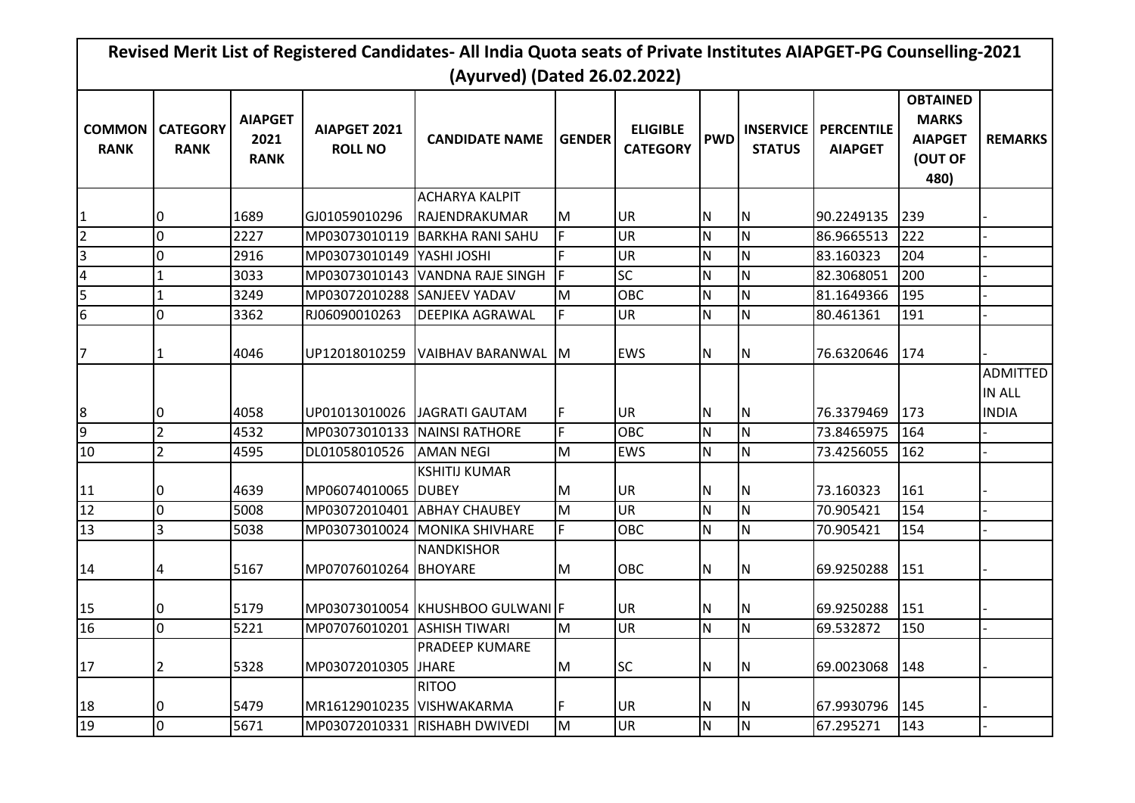| (Ayurved) (Dated 26.02.2022) |                                |                                       |                                |                                  |               |                                    |              |                                   |                                     |                                                                      |                                  |
|------------------------------|--------------------------------|---------------------------------------|--------------------------------|----------------------------------|---------------|------------------------------------|--------------|-----------------------------------|-------------------------------------|----------------------------------------------------------------------|----------------------------------|
| <b>COMMON</b><br><b>RANK</b> | <b>CATEGORY</b><br><b>RANK</b> | <b>AIAPGET</b><br>2021<br><b>RANK</b> | AIAPGET 2021<br><b>ROLL NO</b> | <b>CANDIDATE NAME</b>            | <b>GENDER</b> | <b>ELIGIBLE</b><br><b>CATEGORY</b> | <b>PWD</b>   | <b>INSERVICE</b><br><b>STATUS</b> | <b>PERCENTILE</b><br><b>AIAPGET</b> | <b>OBTAINED</b><br><b>MARKS</b><br><b>AIAPGET</b><br>(OUT OF<br>480) | <b>REMARKS</b>                   |
|                              |                                |                                       |                                | <b>ACHARYA KALPIT</b>            |               |                                    |              |                                   |                                     |                                                                      |                                  |
|                              |                                | 1689                                  | GJ01059010296                  | RAJENDRAKUMAR                    | M             | <b>UR</b>                          | N            | IN.                               | 90.2249135                          | 239                                                                  |                                  |
| $\overline{2}$               | 0                              | 2227                                  | MP03073010119                  | <b>BARKHA RANI SAHU</b>          | F.            | <b>UR</b>                          | N            | IN.                               | 86.9665513                          | 222                                                                  |                                  |
| 3                            | $\Omega$                       | 2916                                  | MP03073010149   YASHI JOSHI    |                                  | F             | UR                                 | $\mathsf{N}$ | lΝ                                | 83.160323                           | 204                                                                  |                                  |
| 4                            |                                | 3033                                  |                                | MP03073010143 VANDNA RAJE SINGH  | F             | <b>SC</b>                          | ${\sf N}$    | lΝ                                | 82.3068051                          | 200                                                                  |                                  |
| 5                            |                                | 3249                                  | MP03072010288 SANJEEV YADAV    |                                  | M             | OBC                                | ${\sf N}$    | IN.                               | 81.1649366                          | 195                                                                  |                                  |
| 6                            | 0                              | 3362                                  | RJ06090010263                  | <b>DEEPIKA AGRAWAL</b>           | F             | <b>UR</b>                          | N            | lΝ                                | 80.461361                           | 191                                                                  |                                  |
|                              |                                | 4046                                  | UP12018010259                  | VAIBHAV BARANWAL M               |               | <b>EWS</b>                         | N            | IN.                               | 76.6320646                          | 174                                                                  |                                  |
|                              |                                |                                       |                                |                                  |               |                                    |              |                                   |                                     |                                                                      | <b>ADMITTED</b><br><b>IN ALL</b> |
| 8                            | 0                              | 4058                                  | UP01013010026                  | JAGRATI GAUTAM                   | F             | <b>UR</b>                          | N            | $\mathsf{N}$                      | 76.3379469                          | 173                                                                  | <b>INDIA</b>                     |
| 9                            | $\overline{2}$                 | 4532                                  | MP03073010133 NAINSI RATHORE   |                                  | F             | <b>OBC</b>                         | N            | IN.                               | 73.8465975                          | 164                                                                  |                                  |
| 10                           | $\overline{2}$                 | 4595                                  | DL01058010526                  | <b>AMAN NEGI</b>                 | M             | <b>EWS</b>                         | N            | lN.                               | 73.4256055                          | 162                                                                  |                                  |
| 11                           |                                | 4639                                  | MP06074010065 DUBEY            | <b>KSHITIJ KUMAR</b>             | M             | <b>UR</b>                          | N            | IN.                               | 73.160323                           | 161                                                                  |                                  |
| 12                           | 0                              | 5008                                  | MP03072010401 ABHAY CHAUBEY    |                                  | M             | <b>UR</b>                          | N            | IN.                               | 70.905421                           | 154                                                                  |                                  |
| 13                           | $\overline{3}$                 | 5038                                  |                                | MP03073010024 MONIKA SHIVHARE    | F             | OBC                                | N            | IN.                               | 70.905421                           | 154                                                                  |                                  |
| 14                           | 4                              | 5167                                  | MP07076010264 BHOYARE          | <b>NANDKISHOR</b>                | M             | OBC                                | N            | IN.                               | 69.9250288                          | 151                                                                  |                                  |
| 15                           |                                | 5179                                  |                                | MP03073010054 KHUSHBOO GULWANI F |               | UR                                 | N            | ΙN                                | 69.9250288                          | 151                                                                  |                                  |
| 16                           | $\Omega$                       | 5221                                  | MP07076010201 ASHISH TIWARI    |                                  | M             | <b>UR</b>                          | N            | IN.                               | 69.532872                           | 150                                                                  |                                  |
| 17                           | 2                              | 5328                                  | MP03072010305                  | JPRADEEP KUMARE<br><b>JHARE</b>  | M             | <b>SC</b>                          | N            | IN.                               | 69.0023068                          | 148                                                                  |                                  |
| 18                           |                                | 5479                                  | MR16129010235 VISHWAKARMA      | <b>RITOO</b>                     | F             | <b>UR</b>                          | N            | IN.                               | 67.9930796                          | 145                                                                  |                                  |
| 19                           | $\overline{0}$                 | 5671                                  |                                | MP03072010331 RISHABH DWIVEDI    | M             | <b>UR</b>                          | ${\sf N}$    | IN.                               | 67.295271                           | 143                                                                  |                                  |